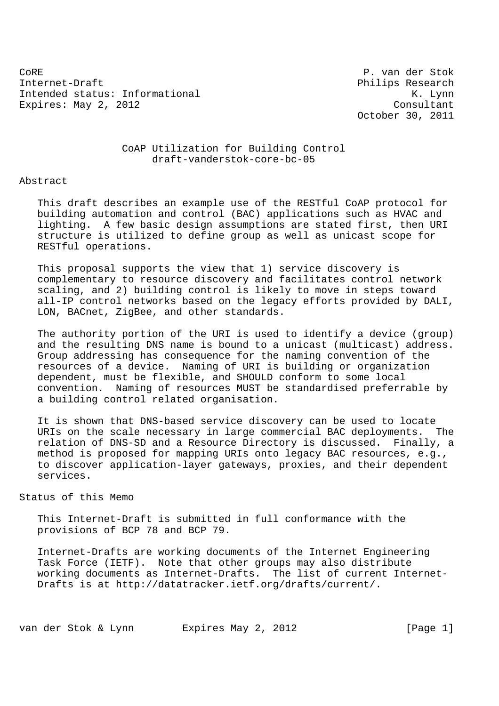CoRE P. van der Stok Internet-Draft Philips Research Intended status: Informational example of the status of the status of the status of the status of the status of the status of the status of the status of the status of the status of the status of the status of the status o Expires: May 2, 2012 Consultant

October 30, 2011

## CoAP Utilization for Building Control draft-vanderstok-core-bc-05

### Abstract

 This draft describes an example use of the RESTful CoAP protocol for building automation and control (BAC) applications such as HVAC and lighting. A few basic design assumptions are stated first, then URI structure is utilized to define group as well as unicast scope for RESTful operations.

 This proposal supports the view that 1) service discovery is complementary to resource discovery and facilitates control network scaling, and 2) building control is likely to move in steps toward all-IP control networks based on the legacy efforts provided by DALI, LON, BACnet, ZigBee, and other standards.

 The authority portion of the URI is used to identify a device (group) and the resulting DNS name is bound to a unicast (multicast) address. Group addressing has consequence for the naming convention of the resources of a device. Naming of URI is building or organization dependent, must be flexible, and SHOULD conform to some local convention. Naming of resources MUST be standardised preferrable by a building control related organisation.

 It is shown that DNS-based service discovery can be used to locate URIs on the scale necessary in large commercial BAC deployments. The relation of DNS-SD and a Resource Directory is discussed. Finally, a method is proposed for mapping URIs onto legacy BAC resources, e.g., to discover application-layer gateways, proxies, and their dependent services.

### Status of this Memo

 This Internet-Draft is submitted in full conformance with the provisions of BCP 78 and BCP 79.

 Internet-Drafts are working documents of the Internet Engineering Task Force (IETF). Note that other groups may also distribute working documents as Internet-Drafts. The list of current Internet- Drafts is at http://datatracker.ietf.org/drafts/current/.

van der Stok & Lynn Expires May 2, 2012 [Page 1]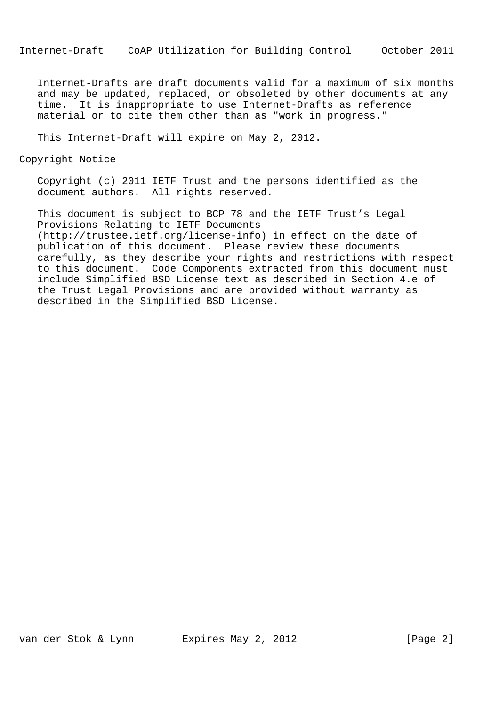Internet-Drafts are draft documents valid for a maximum of six months and may be updated, replaced, or obsoleted by other documents at any time. It is inappropriate to use Internet-Drafts as reference material or to cite them other than as "work in progress."

This Internet-Draft will expire on May 2, 2012.

Copyright Notice

 Copyright (c) 2011 IETF Trust and the persons identified as the document authors. All rights reserved.

 This document is subject to BCP 78 and the IETF Trust's Legal Provisions Relating to IETF Documents (http://trustee.ietf.org/license-info) in effect on the date of publication of this document. Please review these documents carefully, as they describe your rights and restrictions with respect to this document. Code Components extracted from this document must include Simplified BSD License text as described in Section 4.e of the Trust Legal Provisions and are provided without warranty as described in the Simplified BSD License.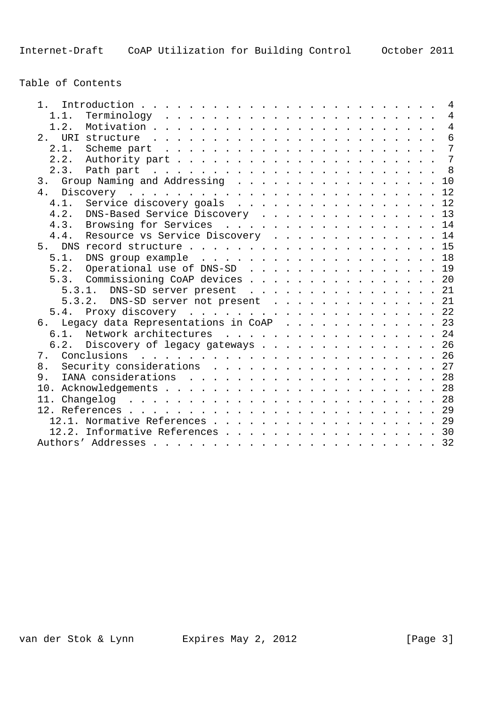Table of Contents

| $1 \quad$                                    |  |                |
|----------------------------------------------|--|----------------|
| 1.1.                                         |  |                |
|                                              |  |                |
| 2 <sup>1</sup>                               |  |                |
| 2.1.                                         |  |                |
|                                              |  | $\overline{7}$ |
|                                              |  |                |
| 3. Group Naming and Addressing 10            |  |                |
|                                              |  |                |
| Service discovery goals 12<br>4.1.           |  |                |
| 4.2.<br>DNS-Based Service Discovery 13       |  |                |
| 4.3. Browsing for Services 14                |  |                |
| Resource vs Service Discovery 14<br>4.4.     |  |                |
|                                              |  |                |
| 5.1. DNS group example 18                    |  |                |
| 5.2. Operational use of DNS-SD 19            |  |                |
| 5.3. Commissioning CoAP devices 20           |  |                |
| 5.3.1. DNS-SD server present 21              |  |                |
| 5.3.2. DNS-SD server not present 21          |  |                |
| 5.4.                                         |  |                |
| Legacy data Representations in CoAP 23<br>6. |  |                |
| 6.1. Network architectures 24                |  |                |
| 6.2. Discovery of legacy gateways 26         |  |                |
| 7. Conclusions                               |  |                |
| Security considerations 27<br>8.             |  |                |
| 9.                                           |  |                |
|                                              |  |                |
|                                              |  |                |
|                                              |  |                |
| 12.1. Normative References 29                |  |                |
| 12.2. Informative References 30              |  |                |
|                                              |  |                |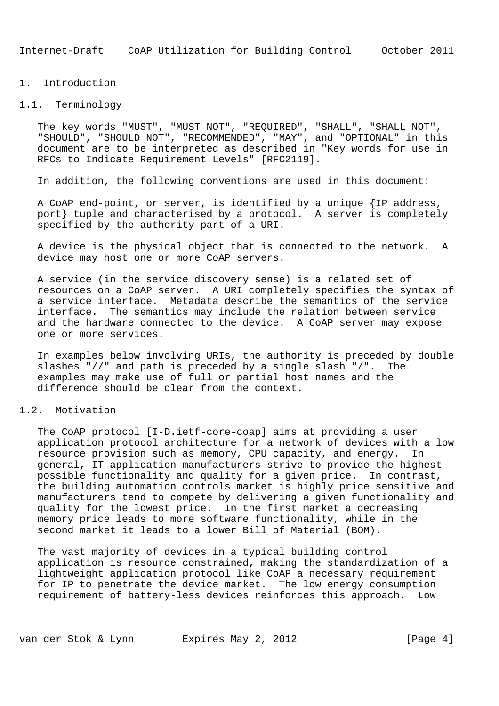### 1. Introduction

### 1.1. Terminology

 The key words "MUST", "MUST NOT", "REQUIRED", "SHALL", "SHALL NOT", "SHOULD", "SHOULD NOT", "RECOMMENDED", "MAY", and "OPTIONAL" in this document are to be interpreted as described in "Key words for use in RFCs to Indicate Requirement Levels" [RFC2119].

In addition, the following conventions are used in this document:

 A CoAP end-point, or server, is identified by a unique {IP address, port} tuple and characterised by a protocol. A server is completely specified by the authority part of a URI.

 A device is the physical object that is connected to the network. A device may host one or more CoAP servers.

 A service (in the service discovery sense) is a related set of resources on a CoAP server. A URI completely specifies the syntax of a service interface. Metadata describe the semantics of the service interface. The semantics may include the relation between service and the hardware connected to the device. A CoAP server may expose one or more services.

 In examples below involving URIs, the authority is preceded by double slashes "//" and path is preceded by a single slash "/". The examples may make use of full or partial host names and the difference should be clear from the context.

# 1.2. Motivation

 The CoAP protocol [I-D.ietf-core-coap] aims at providing a user application protocol architecture for a network of devices with a low resource provision such as memory, CPU capacity, and energy. In general, IT application manufacturers strive to provide the highest possible functionality and quality for a given price. In contrast, the building automation controls market is highly price sensitive and manufacturers tend to compete by delivering a given functionality and quality for the lowest price. In the first market a decreasing memory price leads to more software functionality, while in the second market it leads to a lower Bill of Material (BOM).

 The vast majority of devices in a typical building control application is resource constrained, making the standardization of a lightweight application protocol like CoAP a necessary requirement for IP to penetrate the device market. The low energy consumption requirement of battery-less devices reinforces this approach. Low

van der Stok & Lynn Expires May 2, 2012 [Page 4]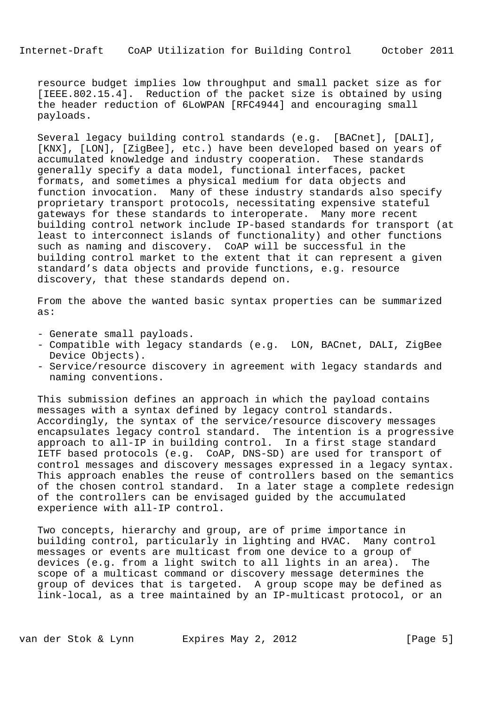resource budget implies low throughput and small packet size as for [IEEE.802.15.4]. Reduction of the packet size is obtained by using the header reduction of 6LoWPAN [RFC4944] and encouraging small payloads.

 Several legacy building control standards (e.g. [BACnet], [DALI], [KNX], [LON], [ZigBee], etc.) have been developed based on years of accumulated knowledge and industry cooperation. These standards generally specify a data model, functional interfaces, packet formats, and sometimes a physical medium for data objects and function invocation. Many of these industry standards also specify proprietary transport protocols, necessitating expensive stateful gateways for these standards to interoperate. Many more recent building control network include IP-based standards for transport (at least to interconnect islands of functionality) and other functions such as naming and discovery. CoAP will be successful in the building control market to the extent that it can represent a given standard's data objects and provide functions, e.g. resource discovery, that these standards depend on.

 From the above the wanted basic syntax properties can be summarized as:

- Generate small payloads.
- Compatible with legacy standards (e.g. LON, BACnet, DALI, ZigBee Device Objects).
- Service/resource discovery in agreement with legacy standards and naming conventions.

 This submission defines an approach in which the payload contains messages with a syntax defined by legacy control standards. Accordingly, the syntax of the service/resource discovery messages encapsulates legacy control standard. The intention is a progressive approach to all-IP in building control. In a first stage standard IETF based protocols (e.g. CoAP, DNS-SD) are used for transport of control messages and discovery messages expressed in a legacy syntax. This approach enables the reuse of controllers based on the semantics of the chosen control standard. In a later stage a complete redesign of the controllers can be envisaged guided by the accumulated experience with all-IP control.

 Two concepts, hierarchy and group, are of prime importance in building control, particularly in lighting and HVAC. Many control messages or events are multicast from one device to a group of devices (e.g. from a light switch to all lights in an area). The scope of a multicast command or discovery message determines the group of devices that is targeted. A group scope may be defined as link-local, as a tree maintained by an IP-multicast protocol, or an

van der Stok & Lynn Expires May 2, 2012 [Page 5]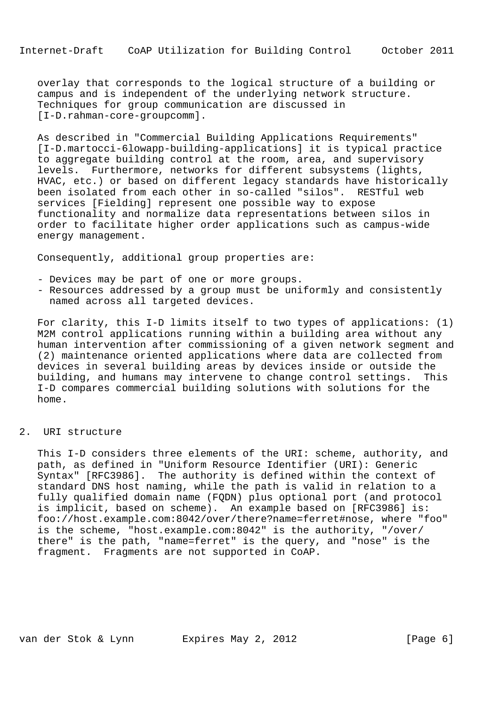overlay that corresponds to the logical structure of a building or campus and is independent of the underlying network structure. Techniques for group communication are discussed in [I-D.rahman-core-groupcomm].

 As described in "Commercial Building Applications Requirements" [I-D.martocci-6lowapp-building-applications] it is typical practice to aggregate building control at the room, area, and supervisory levels. Furthermore, networks for different subsystems (lights, HVAC, etc.) or based on different legacy standards have historically been isolated from each other in so-called "silos". RESTful web services [Fielding] represent one possible way to expose functionality and normalize data representations between silos in order to facilitate higher order applications such as campus-wide energy management.

Consequently, additional group properties are:

- Devices may be part of one or more groups.
- Resources addressed by a group must be uniformly and consistently named across all targeted devices.

 For clarity, this I-D limits itself to two types of applications: (1) M2M control applications running within a building area without any human intervention after commissioning of a given network segment and (2) maintenance oriented applications where data are collected from devices in several building areas by devices inside or outside the building, and humans may intervene to change control settings. This I-D compares commercial building solutions with solutions for the home.

### 2. URI structure

 This I-D considers three elements of the URI: scheme, authority, and path, as defined in "Uniform Resource Identifier (URI): Generic Syntax" [RFC3986]. The authority is defined within the context of standard DNS host naming, while the path is valid in relation to a fully qualified domain name (FQDN) plus optional port (and protocol is implicit, based on scheme). An example based on [RFC3986] is: foo://host.example.com:8042/over/there?name=ferret#nose, where "foo" is the scheme, "host.example.com:8042" is the authority, "/over/ there" is the path, "name=ferret" is the query, and "nose" is the fragment. Fragments are not supported in CoAP.

van der Stok & Lynn Expires May 2, 2012 [Page 6]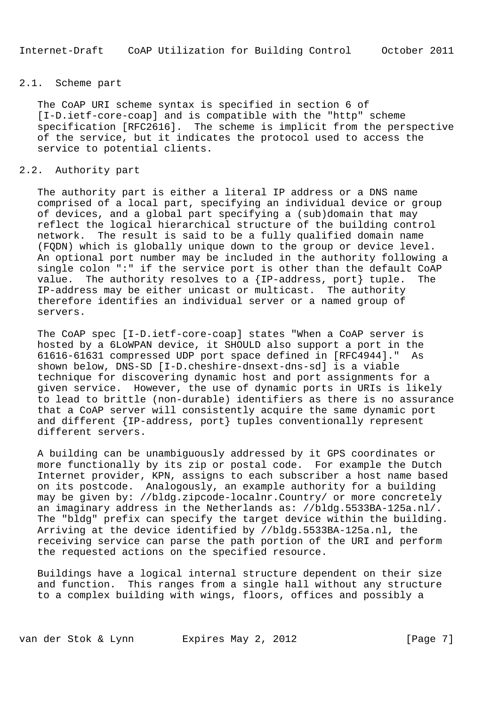# 2.1. Scheme part

 The CoAP URI scheme syntax is specified in section 6 of [I-D.ietf-core-coap] and is compatible with the "http" scheme specification [RFC2616]. The scheme is implicit from the perspective of the service, but it indicates the protocol used to access the service to potential clients.

# 2.2. Authority part

 The authority part is either a literal IP address or a DNS name comprised of a local part, specifying an individual device or group of devices, and a global part specifying a (sub)domain that may reflect the logical hierarchical structure of the building control network. The result is said to be a fully qualified domain name (FQDN) which is globally unique down to the group or device level. An optional port number may be included in the authority following a single colon ":" if the service port is other than the default CoAP value. The authority resolves to a {IP-address, port} tuple. The IP-address may be either unicast or multicast. The authority therefore identifies an individual server or a named group of servers.

 The CoAP spec [I-D.ietf-core-coap] states "When a CoAP server is hosted by a 6LoWPAN device, it SHOULD also support a port in the 61616-61631 compressed UDP port space defined in [RFC4944]." As shown below, DNS-SD [I-D.cheshire-dnsext-dns-sd] is a viable technique for discovering dynamic host and port assignments for a given service. However, the use of dynamic ports in URIs is likely to lead to brittle (non-durable) identifiers as there is no assurance that a CoAP server will consistently acquire the same dynamic port and different {IP-address, port} tuples conventionally represent different servers.

 A building can be unambiguously addressed by it GPS coordinates or more functionally by its zip or postal code. For example the Dutch Internet provider, KPN, assigns to each subscriber a host name based on its postcode. Analogously, an example authority for a building may be given by: //bldg.zipcode-localnr.Country/ or more concretely an imaginary address in the Netherlands as: //bldg.5533BA-125a.nl/. The "bldg" prefix can specify the target device within the building. Arriving at the device identified by //bldg.5533BA-125a.nl, the receiving service can parse the path portion of the URI and perform the requested actions on the specified resource.

 Buildings have a logical internal structure dependent on their size and function. This ranges from a single hall without any structure to a complex building with wings, floors, offices and possibly a

van der Stok & Lynn Expires May 2, 2012 [Page 7]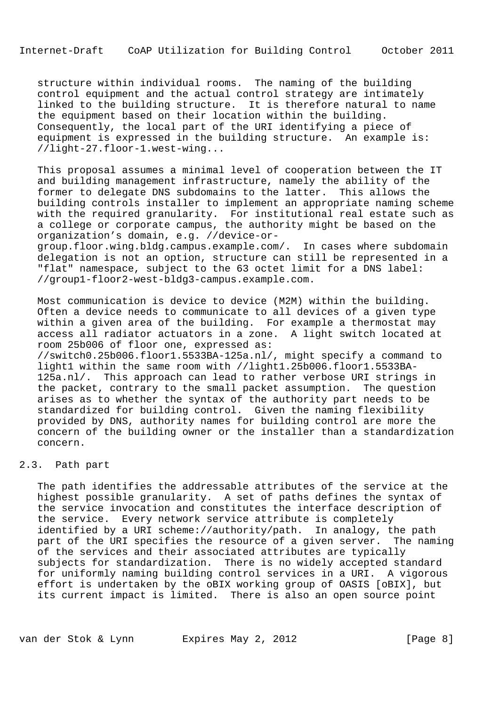structure within individual rooms. The naming of the building control equipment and the actual control strategy are intimately linked to the building structure. It is therefore natural to name the equipment based on their location within the building. Consequently, the local part of the URI identifying a piece of equipment is expressed in the building structure. An example is: //light-27.floor-1.west-wing...

 This proposal assumes a minimal level of cooperation between the IT and building management infrastructure, namely the ability of the former to delegate DNS subdomains to the latter. This allows the building controls installer to implement an appropriate naming scheme with the required granularity. For institutional real estate such as a college or corporate campus, the authority might be based on the organization's domain, e.g. //device-or-

 group.floor.wing.bldg.campus.example.com/. In cases where subdomain delegation is not an option, structure can still be represented in a "flat" namespace, subject to the 63 octet limit for a DNS label: //group1-floor2-west-bldg3-campus.example.com.

 Most communication is device to device (M2M) within the building. Often a device needs to communicate to all devices of a given type within a given area of the building. For example a thermostat may access all radiator actuators in a zone. A light switch located at room 25b006 of floor one, expressed as: //switch0.25b006.floor1.5533BA-125a.nl/, might specify a command to light1 within the same room with //light1.25b006.floor1.5533BA- 125a.nl/. This approach can lead to rather verbose URI strings in the packet, contrary to the small packet assumption. The question arises as to whether the syntax of the authority part needs to be standardized for building control. Given the naming flexibility provided by DNS, authority names for building control are more the concern of the building owner or the installer than a standardization concern.

### 2.3. Path part

 The path identifies the addressable attributes of the service at the highest possible granularity. A set of paths defines the syntax of the service invocation and constitutes the interface description of the service. Every network service attribute is completely identified by a URI scheme://authority/path. In analogy, the path part of the URI specifies the resource of a given server. The naming of the services and their associated attributes are typically subjects for standardization. There is no widely accepted standard for uniformly naming building control services in a URI. A vigorous effort is undertaken by the oBIX working group of OASIS [oBIX], but its current impact is limited. There is also an open source point

van der Stok & Lynn Expires May 2, 2012 [Page 8]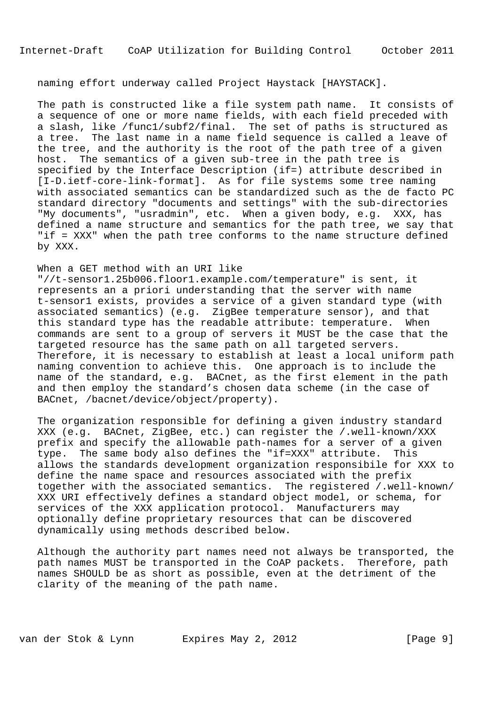# naming effort underway called Project Haystack [HAYSTACK].

 The path is constructed like a file system path name. It consists of a sequence of one or more name fields, with each field preceded with a slash, like /func1/subf2/final. The set of paths is structured as a tree. The last name in a name field sequence is called a leave of the tree, and the authority is the root of the path tree of a given host. The semantics of a given sub-tree in the path tree is specified by the Interface Description (if=) attribute described in [I-D.ietf-core-link-format]. As for file systems some tree naming with associated semantics can be standardized such as the de facto PC standard directory "documents and settings" with the sub-directories "My documents", "usradmin", etc. When a given body, e.g. XXX, has defined a name structure and semantics for the path tree, we say that "if = XXX" when the path tree conforms to the name structure defined by XXX.

### When a GET method with an URI like

 "//t-sensor1.25b006.floor1.example.com/temperature" is sent, it represents an a priori understanding that the server with name t-sensor1 exists, provides a service of a given standard type (with associated semantics) (e.g. ZigBee temperature sensor), and that this standard type has the readable attribute: temperature. When commands are sent to a group of servers it MUST be the case that the targeted resource has the same path on all targeted servers. Therefore, it is necessary to establish at least a local uniform path naming convention to achieve this. One approach is to include the name of the standard, e.g. BACnet, as the first element in the path and then employ the standard's chosen data scheme (in the case of BACnet, /bacnet/device/object/property).

 The organization responsible for defining a given industry standard XXX (e.g. BACnet, ZigBee, etc.) can register the /.well-known/XXX prefix and specify the allowable path-names for a server of a given type. The same body also defines the "if=XXX" attribute. This allows the standards development organization responsibile for XXX to define the name space and resources associated with the prefix together with the associated semantics. The registered /.well-known/ XXX URI effectively defines a standard object model, or schema, for services of the XXX application protocol. Manufacturers may optionally define proprietary resources that can be discovered dynamically using methods described below.

 Although the authority part names need not always be transported, the path names MUST be transported in the CoAP packets. Therefore, path names SHOULD be as short as possible, even at the detriment of the clarity of the meaning of the path name.

van der Stok & Lynn Expires May 2, 2012 [Page 9]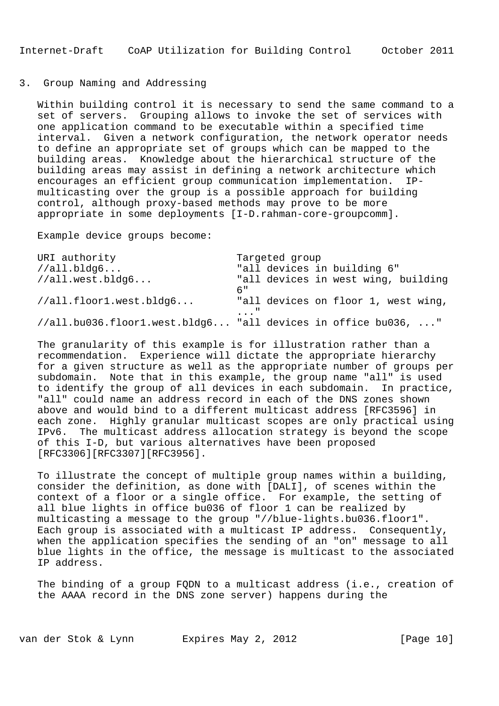# 3. Group Naming and Addressing

 Within building control it is necessary to send the same command to a set of servers. Grouping allows to invoke the set of services with one application command to be executable within a specified time interval. Given a network configuration, the network operator needs to define an appropriate set of groups which can be mapped to the building areas. Knowledge about the hierarchical structure of the building areas may assist in defining a network architecture which encourages an efficient group communication implementation. IP multicasting over the group is a possible approach for building control, although proxy-based methods may prove to be more appropriate in some deployments [I-D.rahman-core-groupcomm].

Example device groups become:

| URI authority           | Targeted group                                                |
|-------------------------|---------------------------------------------------------------|
| //all.bldq6             | "all devices in building 6"                                   |
| //all.west.bldg6        | "all devices in west wing, building                           |
|                         | б"                                                            |
| //all.floor1.west.bldg6 | "all devices on floor 1, west wing,                           |
|                         | $\ldots$ "                                                    |
|                         | //all.bu036.floor1.west.bldg6 "all devices in office bu036, " |

 The granularity of this example is for illustration rather than a recommendation. Experience will dictate the appropriate hierarchy for a given structure as well as the appropriate number of groups per subdomain. Note that in this example, the group name "all" is used to identify the group of all devices in each subdomain. In practice, "all" could name an address record in each of the DNS zones shown above and would bind to a different multicast address [RFC3596] in each zone. Highly granular multicast scopes are only practical using IPv6. The multicast address allocation strategy is beyond the scope of this I-D, but various alternatives have been proposed [RFC3306][RFC3307][RFC3956].

 To illustrate the concept of multiple group names within a building, consider the definition, as done with [DALI], of scenes within the context of a floor or a single office. For example, the setting of all blue lights in office bu036 of floor 1 can be realized by multicasting a message to the group "//blue-lights.bu036.floor1". Each group is associated with a multicast IP address. Consequently, when the application specifies the sending of an "on" message to all blue lights in the office, the message is multicast to the associated IP address.

 The binding of a group FQDN to a multicast address (i.e., creation of the AAAA record in the DNS zone server) happens during the

van der Stok & Lynn Expires May 2, 2012 [Page 10]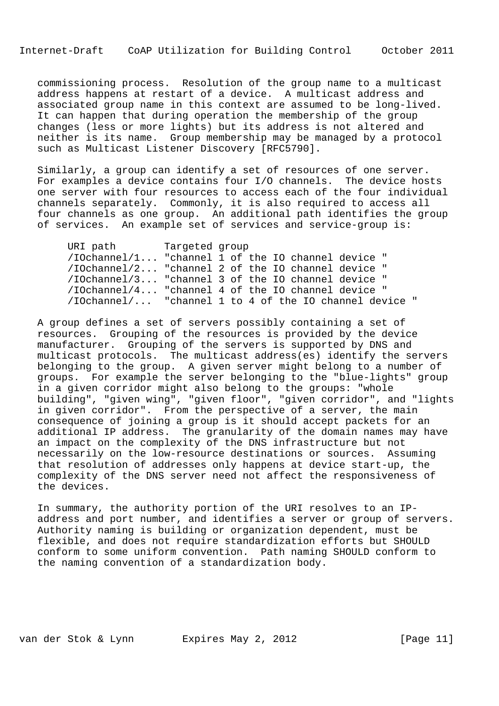commissioning process. Resolution of the group name to a multicast address happens at restart of a device. A multicast address and associated group name in this context are assumed to be long-lived. It can happen that during operation the membership of the group changes (less or more lights) but its address is not altered and neither is its name. Group membership may be managed by a protocol such as Multicast Listener Discovery [RFC5790].

 Similarly, a group can identify a set of resources of one server. For examples a device contains four I/O channels. The device hosts one server with four resources to access each of the four individual channels separately. Commonly, it is also required to access all four channels as one group. An additional path identifies the group of services. An example set of services and service-group is:

| URI path                                               | Targeted group |  |  |  |  |
|--------------------------------------------------------|----------------|--|--|--|--|
| /IOchannel/1 "channel 1 of the IO channel device "     |                |  |  |  |  |
| /IOchannel/2 "channel 2 of the IO channel device "     |                |  |  |  |  |
| /IOchannel/3 "channel 3 of the IO channel device "     |                |  |  |  |  |
| /IOchannel/4 "channel 4 of the IO channel device "     |                |  |  |  |  |
| /IOchannel/ "channel 1 to 4 of the IO channel device " |                |  |  |  |  |

 A group defines a set of servers possibly containing a set of resources. Grouping of the resources is provided by the device manufacturer. Grouping of the servers is supported by DNS and multicast protocols. The multicast address(es) identify the servers belonging to the group. A given server might belong to a number of groups. For example the server belonging to the "blue-lights" group in a given corridor might also belong to the groups: "whole building", "given wing", "given floor", "given corridor", and "lights in given corridor". From the perspective of a server, the main consequence of joining a group is it should accept packets for an additional IP address. The granularity of the domain names may have an impact on the complexity of the DNS infrastructure but not necessarily on the low-resource destinations or sources. Assuming that resolution of addresses only happens at device start-up, the complexity of the DNS server need not affect the responsiveness of the devices.

 In summary, the authority portion of the URI resolves to an IP address and port number, and identifies a server or group of servers. Authority naming is building or organization dependent, must be flexible, and does not require standardization efforts but SHOULD conform to some uniform convention. Path naming SHOULD conform to the naming convention of a standardization body.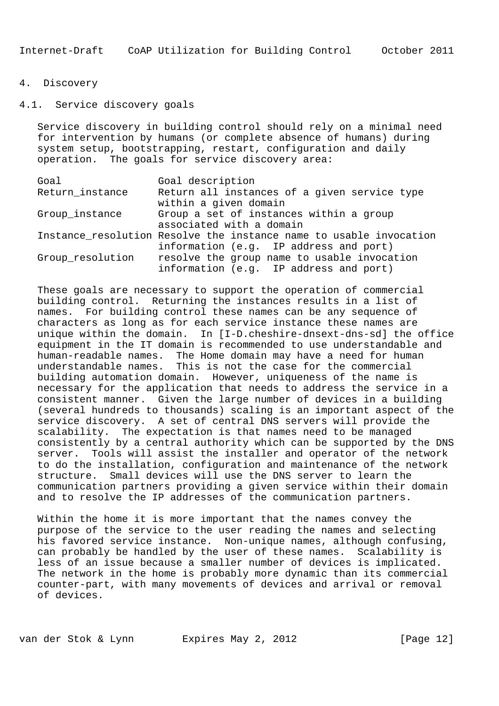## 4. Discovery

# 4.1. Service discovery goals

 Service discovery in building control should rely on a minimal need for intervention by humans (or complete absence of humans) during system setup, bootstrapping, restart, configuration and daily operation. The goals for service discovery area:

| Goal             | Goal description                                                                                             |
|------------------|--------------------------------------------------------------------------------------------------------------|
| Return_instance  | Return all instances of a given service type<br>within a given domain                                        |
| Group_instance   | Group a set of instances within a group<br>associated with a domain                                          |
|                  | Instance resolution Resolve the instance name to usable invocation<br>information (e.g. IP address and port) |
| Group_resolution | resolve the group name to usable invocation<br>information (e.g. IP address and port)                        |

 These goals are necessary to support the operation of commercial building control. Returning the instances results in a list of names. For building control these names can be any sequence of characters as long as for each service instance these names are unique within the domain. In [I-D.cheshire-dnsext-dns-sd] the office equipment in the IT domain is recommended to use understandable and human-readable names. The Home domain may have a need for human understandable names. This is not the case for the commercial building automation domain. However, uniqueness of the name is necessary for the application that needs to address the service in a consistent manner. Given the large number of devices in a building (several hundreds to thousands) scaling is an important aspect of the service discovery. A set of central DNS servers will provide the scalability. The expectation is that names need to be managed consistently by a central authority which can be supported by the DNS server. Tools will assist the installer and operator of the network to do the installation, configuration and maintenance of the network structure. Small devices will use the DNS server to learn the communication partners providing a given service within their domain and to resolve the IP addresses of the communication partners.

 Within the home it is more important that the names convey the purpose of the service to the user reading the names and selecting his favored service instance. Non-unique names, although confusing, can probably be handled by the user of these names. Scalability is less of an issue because a smaller number of devices is implicated. The network in the home is probably more dynamic than its commercial counter-part, with many movements of devices and arrival or removal of devices.

van der Stok & Lynn Expires May 2, 2012 [Page 12]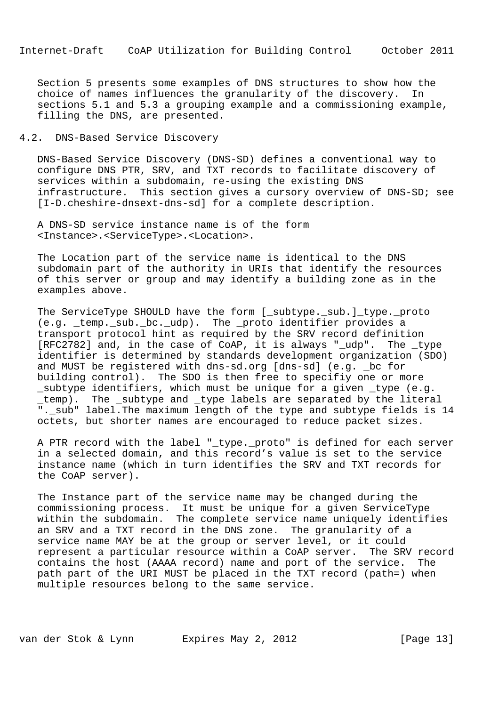Section 5 presents some examples of DNS structures to show how the choice of names influences the granularity of the discovery. In sections 5.1 and 5.3 a grouping example and a commissioning example, filling the DNS, are presented.

# 4.2. DNS-Based Service Discovery

 DNS-Based Service Discovery (DNS-SD) defines a conventional way to configure DNS PTR, SRV, and TXT records to facilitate discovery of services within a subdomain, re-using the existing DNS infrastructure. This section gives a cursory overview of DNS-SD; see [I-D.cheshire-dnsext-dns-sd] for a complete description.

 A DNS-SD service instance name is of the form <Instance>.<ServiceType>.<Location>.

 The Location part of the service name is identical to the DNS subdomain part of the authority in URIs that identify the resources of this server or group and may identify a building zone as in the examples above.

The ServiceType SHOULD have the form [ subtype. sub.] type. proto (e.g. \_temp.\_sub.\_bc.\_udp). The \_proto identifier provides a transport protocol hint as required by the SRV record definition [RFC2782] and, in the case of CoAP, it is always "\_udp". The \_type identifier is determined by standards development organization (SDO) and MUST be registered with dns-sd.org [dns-sd] (e.g. \_bc for building control). The SDO is then free to specifiy one or more \_subtype identifiers, which must be unique for a given \_type (e.g. \_temp). The \_subtype and \_type labels are separated by the literal ".\_sub" label.The maximum length of the type and subtype fields is 14 octets, but shorter names are encouraged to reduce packet sizes.

 A PTR record with the label "\_type.\_proto" is defined for each server in a selected domain, and this record's value is set to the service instance name (which in turn identifies the SRV and TXT records for the CoAP server).

 The Instance part of the service name may be changed during the commissioning process. It must be unique for a given ServiceType within the subdomain. The complete service name uniquely identifies an SRV and a TXT record in the DNS zone. The granularity of a service name MAY be at the group or server level, or it could represent a particular resource within a CoAP server. The SRV record contains the host (AAAA record) name and port of the service. The path part of the URI MUST be placed in the TXT record (path=) when multiple resources belong to the same service.

van der Stok & Lynn Expires May 2, 2012 [Page 13]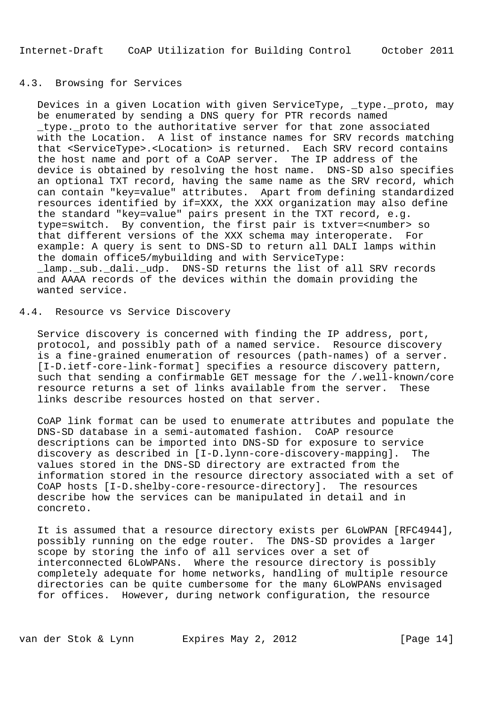# 4.3. Browsing for Services

 Devices in a given Location with given ServiceType, \_type.\_proto, may be enumerated by sending a DNS query for PTR records named \_type.\_proto to the authoritative server for that zone associated with the Location. A list of instance names for SRV records matching that <ServiceType>.<Location> is returned. Each SRV record contains the host name and port of a CoAP server. The IP address of the device is obtained by resolving the host name. DNS-SD also specifies an optional TXT record, having the same name as the SRV record, which can contain "key=value" attributes. Apart from defining standardized resources identified by if=XXX, the XXX organization may also define the standard "key=value" pairs present in the TXT record, e.g. type=switch. By convention, the first pair is txtver=<number> so that different versions of the XXX schema may interoperate. For example: A query is sent to DNS-SD to return all DALI lamps within the domain office5/mybuilding and with ServiceType: \_lamp.\_sub.\_dali.\_udp. DNS-SD returns the list of all SRV records and AAAA records of the devices within the domain providing the wanted service.

### 4.4. Resource vs Service Discovery

 Service discovery is concerned with finding the IP address, port, protocol, and possibly path of a named service. Resource discovery is a fine-grained enumeration of resources (path-names) of a server. [I-D.ietf-core-link-format] specifies a resource discovery pattern, such that sending a confirmable GET message for the /.well-known/core resource returns a set of links available from the server. These links describe resources hosted on that server.

 CoAP link format can be used to enumerate attributes and populate the DNS-SD database in a semi-automated fashion. CoAP resource descriptions can be imported into DNS-SD for exposure to service discovery as described in [I-D.lynn-core-discovery-mapping]. The values stored in the DNS-SD directory are extracted from the information stored in the resource directory associated with a set of CoAP hosts [I-D.shelby-core-resource-directory]. The resources describe how the services can be manipulated in detail and in concreto.

 It is assumed that a resource directory exists per 6LoWPAN [RFC4944], possibly running on the edge router. The DNS-SD provides a larger scope by storing the info of all services over a set of interconnected 6LoWPANs. Where the resource directory is possibly completely adequate for home networks, handling of multiple resource directories can be quite cumbersome for the many 6LoWPANs envisaged for offices. However, during network configuration, the resource

van der Stok & Lynn Expires May 2, 2012 [Page 14]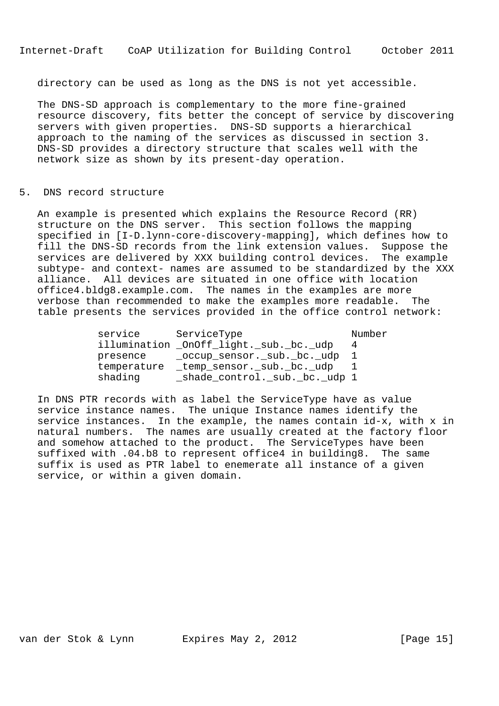directory can be used as long as the DNS is not yet accessible.

 The DNS-SD approach is complementary to the more fine-grained resource discovery, fits better the concept of service by discovering servers with given properties. DNS-SD supports a hierarchical approach to the naming of the services as discussed in section 3. DNS-SD provides a directory structure that scales well with the network size as shown by its present-day operation.

### 5. DNS record structure

 An example is presented which explains the Resource Record (RR) structure on the DNS server. This section follows the mapping specified in [I-D.lynn-core-discovery-mapping], which defines how to fill the DNS-SD records from the link extension values. Suppose the services are delivered by XXX building control devices. The example subtype- and context- names are assumed to be standardized by the XXX alliance. All devices are situated in one office with location office4.bldg8.example.com. The names in the examples are more verbose than recommended to make the examples more readable. The table presents the services provided in the office control network:

| service     | ServiceType                             | Number |
|-------------|-----------------------------------------|--------|
|             | illumination _OnOff_light._sub._bc._udp | 4      |
| presence    | _occup_sensor._sub._bc._udp             |        |
| temperature | _temp_sensor._sub._bc._udp              |        |
| shading     | _shade_control._sub._bc._udp 1          |        |

 In DNS PTR records with as label the ServiceType have as value service instance names. The unique Instance names identify the service instances. In the example, the names contain id-x, with x in natural numbers. The names are usually created at the factory floor and somehow attached to the product. The ServiceTypes have been suffixed with .04.b8 to represent office4 in building8. The same suffix is used as PTR label to enemerate all instance of a given service, or within a given domain.

van der Stok & Lynn Expires May 2, 2012 [Page 15]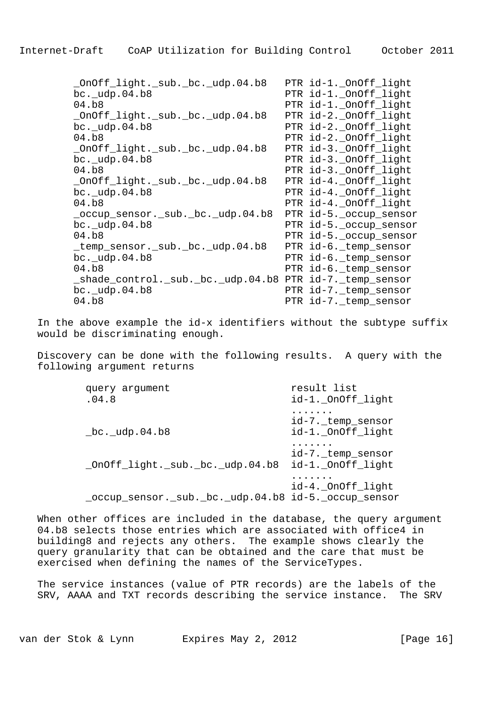\_OnOff\_light.\_sub.\_bc.\_udp.04.b8 PTR id-1.\_OnOff\_light PTR id-1.\_OnOff\_light 04.b8 PTR id-1.\_OnOff\_light \_OnOff\_light.\_sub.\_bc.\_udp.04.b8 PTR id-2.\_OnOff\_light bc.\_udp.04.b8 PTR id-2.\_OnOff\_light 04.b8 PTR id-2.\_OnOff\_light \_OnOff\_light.\_sub.\_bc.\_udp.04.b8 PTR id-3.\_OnOff\_light bc.\_udp.04.b8 PTR id-3.\_OnOff\_light 04.b8 PTR id-3.\_OnOff light \_OnOff\_light.\_sub.\_bc.\_udp.04.b8 PTR id-4.\_OnOff\_light bc.\_udp.04.b8 PTR id-4.\_OnOff\_light 04.b8 PTR id-4.\_OnOff\_light \_occup\_sensor.\_sub.\_bc.\_udp.04.b8 PTR id-5.\_occup\_sensor bc. udp.04.b8 PTR id-5. occup sensor 04.b8 PTR id-5.\_occup\_sensor temp sensor. sub. bc. udp.04.b8 PTR id-6. temp sensor bc.\_udp.04.b8 PTR id-6.\_temp\_sensor 04.b8 PTR id-6.\_temp\_sensor shade control. sub. bc. udp.04.b8 PTR id-7. temp sensor bc. udp.04.b8 PTR id-7. temp sensor 04.b8 PTR id-7.\_temp\_sensor

 In the above example the id-x identifiers without the subtype suffix would be discriminating enough.

 Discovery can be done with the following results. A query with the following argument returns

| query argument<br>.04.8                              | result list<br>id-1._OnOff_light       |
|------------------------------------------------------|----------------------------------------|
| $bc$ . udp. 04. b8                                   | id-7._temp_sensor<br>id-1._OnOff_light |
| _OnOff_light._sub._bc._udp.04.b8                     | id-7._temp_sensor<br>id-1._OnOff_light |
| _occup_sensor._sub._bc._udp.04.b8 id-5._occup_sensor | id-4._OnOff_light                      |

When other offices are included in the database, the query argument 04.b8 selects those entries which are associated with office4 in building8 and rejects any others. The example shows clearly the query granularity that can be obtained and the care that must be exercised when defining the names of the ServiceTypes.

 The service instances (value of PTR records) are the labels of the SRV, AAAA and TXT records describing the service instance. The SRV

van der Stok & Lynn Expires May 2, 2012 [Page 16]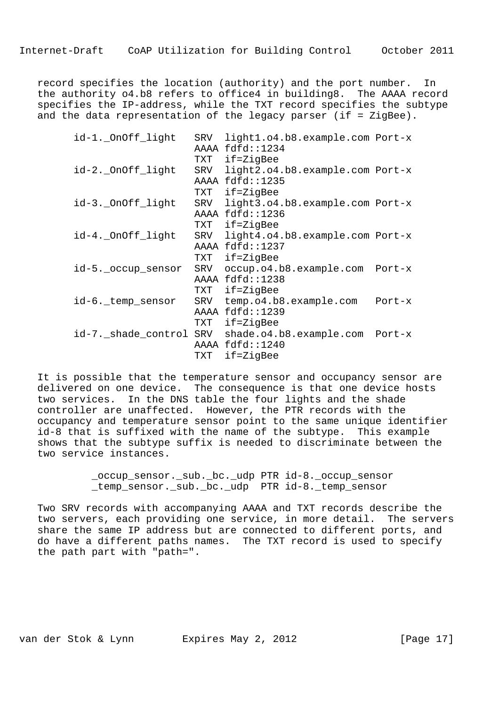record specifies the location (authority) and the port number. In the authority o4.b8 refers to office4 in building8. The AAAA record specifies the IP-address, while the TXT record specifies the subtype and the data representation of the legacy parser (if = ZigBee).

| id-1._OnOff_light   | SRV  | light1.o4.b8.example.com Port-x |          |
|---------------------|------|---------------------------------|----------|
|                     |      | AAAA fdfd::1234                 |          |
|                     | TXT  | if=ZigBee                       |          |
| id-2._OnOff_light   | SRV  | light2.o4.b8.example.com Port-x |          |
|                     |      | AAAA fdfd::1235                 |          |
|                     | TXT  | if=ZigBee                       |          |
| id-3._OnOff_light   | SRV  | light3.o4.b8.example.com Port-x |          |
|                     | AAAA | fdfd: : 1236                    |          |
|                     | TXT  | if=ZigBee                       |          |
| id-4._OnOff_light   | SRV  | light4.o4.b8.example.com Port-x |          |
|                     |      | AAAA fdfd::1237                 |          |
|                     | TXT  | if=ZigBee                       |          |
| id-5._occup_sensor  | SRV  | occup.o4.b8.example.com Port-x  |          |
|                     |      | AAAA fdfd::1238                 |          |
|                     | TXT  | if=ZigBee                       |          |
| id-6._temp_sensor   | SRV  | temp.o4.b8.example.com          | Port-x   |
|                     |      | AAAA fdfd::1239                 |          |
|                     | TXT  | if=ZigBee                       |          |
| id-7._shade_control | SRV  | shade.o4.b8.example.com         | $Port-x$ |
|                     | AAAA | fdfd:1240                       |          |
|                     | TXT  | $if = ZigBee$                   |          |

 It is possible that the temperature sensor and occupancy sensor are delivered on one device. The consequence is that one device hosts two services. In the DNS table the four lights and the shade controller are unaffected. However, the PTR records with the occupancy and temperature sensor point to the same unique identifier id-8 that is suffixed with the name of the subtype. This example shows that the subtype suffix is needed to discriminate between the two service instances.

> \_occup\_sensor.\_sub.\_bc.\_udp PTR id-8.\_occup\_sensor \_temp\_sensor.\_sub.\_bc.\_udp PTR id-8.\_temp\_sensor

 Two SRV records with accompanying AAAA and TXT records describe the two servers, each providing one service, in more detail. The servers share the same IP address but are connected to different ports, and do have a different paths names. The TXT record is used to specify the path part with "path=".

van der Stok & Lynn Expires May 2, 2012 [Page 17]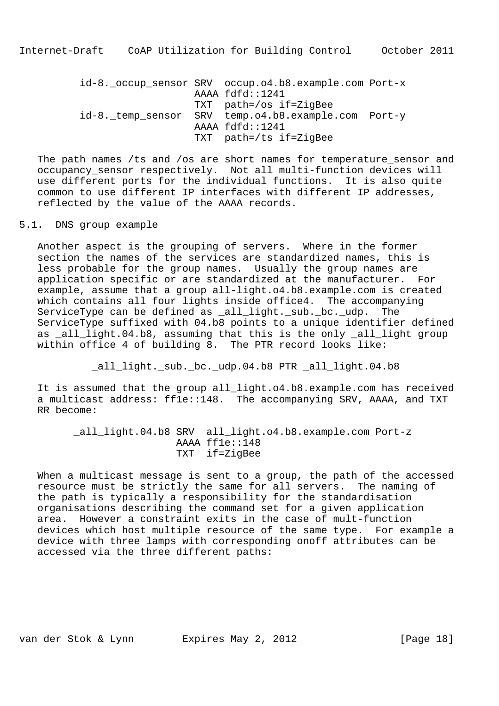id-8. occup sensor SRV occup.o4.b8.example.com Port-x AAAA fdfd::1241 TXT path=/os if=ZigBee id-8. temp sensor SRV temp.o4.b8.example.com Port-y AAAA fdfd::1241 TXT path=/ts if=ZigBee

 The path names /ts and /os are short names for temperature\_sensor and occupancy\_sensor respectively. Not all multi-function devices will use different ports for the individual functions. It is also quite common to use different IP interfaces with different IP addresses, reflected by the value of the AAAA records.

5.1. DNS group example

 Another aspect is the grouping of servers. Where in the former section the names of the services are standardized names, this is less probable for the group names. Usually the group names are application specific or are standardized at the manufacturer. For example, assume that a group all-light.o4.b8.example.com is created which contains all four lights inside office4. The accompanying ServiceType can be defined as all light. sub. bc. udp. The ServiceType suffixed with 04.b8 points to a unique identifier defined as all light.04.b8, assuming that this is the only \_all\_light group within office 4 of building 8. The PTR record looks like:

all light.\_sub.\_bc.\_udp.04.b8 PTR \_all\_light.04.b8

 It is assumed that the group all\_light.o4.b8.example.com has received a multicast address: ff1e::148. The accompanying SRV, AAAA, and TXT RR become:

 \_all\_light.04.b8 SRV all\_light.o4.b8.example.com Port-z AAAA ff1e::148 TXT if=ZigBee

 When a multicast message is sent to a group, the path of the accessed resource must be strictly the same for all servers. The naming of the path is typically a responsibility for the standardisation organisations describing the command set for a given application area. However a constraint exits in the case of mult-function devices which host multiple resource of the same type. For example a device with three lamps with corresponding onoff attributes can be accessed via the three different paths:

van der Stok & Lynn Expires May 2, 2012 [Page 18]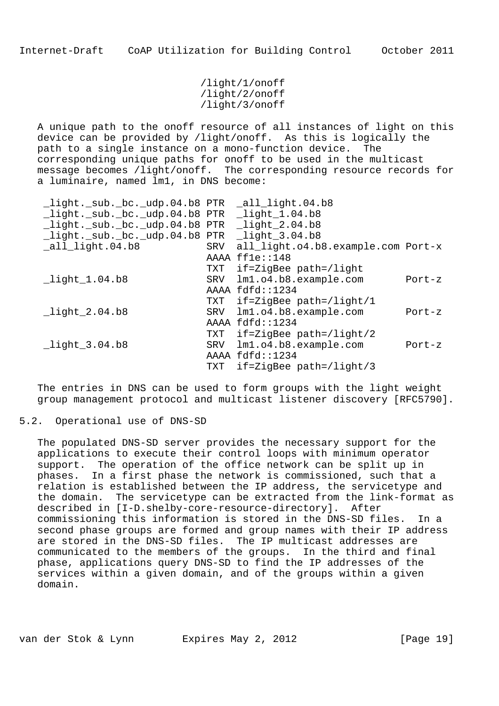/light/1/onoff /light/2/onoff /light/3/onoff

 A unique path to the onoff resource of all instances of light on this device can be provided by /light/onoff. As this is logically the path to a single instance on a mono-function device. The corresponding unique paths for onoff to be used in the multicast message becomes /light/onoff. The corresponding resource records for a luminaire, named lm1, in DNS become:

| $\lceil$ light. sub. bc. udp.04.b8 PTR $\lceil$ all light.04.b8 |     |                                    |          |
|-----------------------------------------------------------------|-----|------------------------------------|----------|
| _light._sub._bc._udp.04.b8 PTR _light_1.04.b8                   |     |                                    |          |
| _light._sub._bc._udp.04.b8 PTR _light_2.04.b8                   |     |                                    |          |
| $light._sub._bc._udp.04.b8$ PTR                                 |     | $_{1.1}$ ight $_{3.04.}$ b8        |          |
| $all$ light.04.b8                                               | SRV | all_light.o4.b8.example.com Port-x |          |
|                                                                 |     | AAAA ffle::148                     |          |
|                                                                 |     | TXT if=ZigBee path=/light          |          |
| light 1.04.b8                                                   |     | SRV lm1.o4.b8.example.com          | $Port-z$ |
|                                                                 |     | AAAA fdfd::1234                    |          |
|                                                                 |     | TXT if=ZigBee path=/light/1        |          |
| light 2.04.b8                                                   |     | SRV lm1.o4.b8.example.com          | $Port-z$ |
|                                                                 |     | AAAA fdfd::1234                    |          |
|                                                                 | TXT | if=ZigBee path=/light/2            |          |
| $_{light\_3.04.b8}$                                             | SRV | lm1.o4.b8.example.com              | $Port-z$ |
|                                                                 |     | AAAA fdfd::1234                    |          |
|                                                                 |     | TXT if=ZigBee path=/light/3        |          |

 The entries in DNS can be used to form groups with the light weight group management protocol and multicast listener discovery [RFC5790].

### 5.2. Operational use of DNS-SD

 The populated DNS-SD server provides the necessary support for the applications to execute their control loops with minimum operator support. The operation of the office network can be split up in phases. In a first phase the network is commissioned, such that a relation is established between the IP address, the servicetype and the domain. The servicetype can be extracted from the link-format as described in [I-D.shelby-core-resource-directory]. After commissioning this information is stored in the DNS-SD files. In a second phase groups are formed and group names with their IP address are stored in the DNS-SD files. The IP multicast addresses are communicated to the members of the groups. In the third and final phase, applications query DNS-SD to find the IP addresses of the services within a given domain, and of the groups within a given domain.

van der Stok & Lynn Expires May 2, 2012 [Page 19]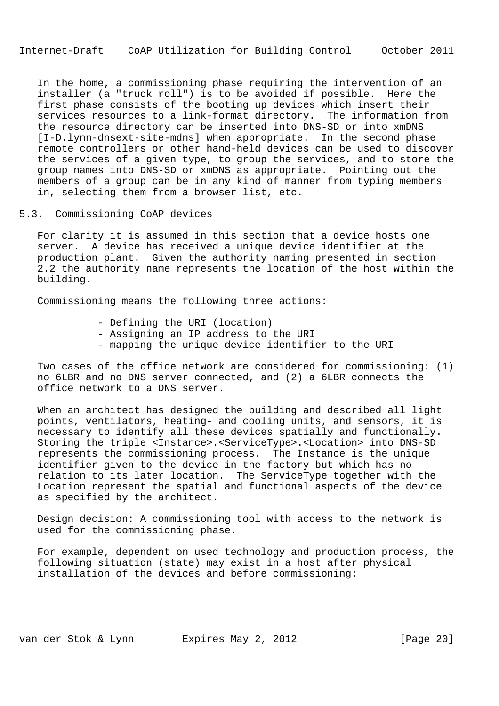In the home, a commissioning phase requiring the intervention of an installer (a "truck roll") is to be avoided if possible. Here the first phase consists of the booting up devices which insert their services resources to a link-format directory. The information from the resource directory can be inserted into DNS-SD or into xmDNS [I-D.lynn-dnsext-site-mdns] when appropriate. In the second phase remote controllers or other hand-held devices can be used to discover the services of a given type, to group the services, and to store the group names into DNS-SD or xmDNS as appropriate. Pointing out the members of a group can be in any kind of manner from typing members in, selecting them from a browser list, etc.

5.3. Commissioning CoAP devices

 For clarity it is assumed in this section that a device hosts one server. A device has received a unique device identifier at the production plant. Given the authority naming presented in section 2.2 the authority name represents the location of the host within the building.

Commissioning means the following three actions:

- Defining the URI (location)
- Assigning an IP address to the URI
- mapping the unique device identifier to the URI

 Two cases of the office network are considered for commissioning: (1) no 6LBR and no DNS server connected, and (2) a 6LBR connects the office network to a DNS server.

 When an architect has designed the building and described all light points, ventilators, heating- and cooling units, and sensors, it is necessary to identify all these devices spatially and functionally. Storing the triple <Instance>.<ServiceType>.<Location> into DNS-SD represents the commissioning process. The Instance is the unique identifier given to the device in the factory but which has no relation to its later location. The ServiceType together with the Location represent the spatial and functional aspects of the device as specified by the architect.

 Design decision: A commissioning tool with access to the network is used for the commissioning phase.

 For example, dependent on used technology and production process, the following situation (state) may exist in a host after physical installation of the devices and before commissioning:

van der Stok & Lynn Expires May 2, 2012 [Page 20]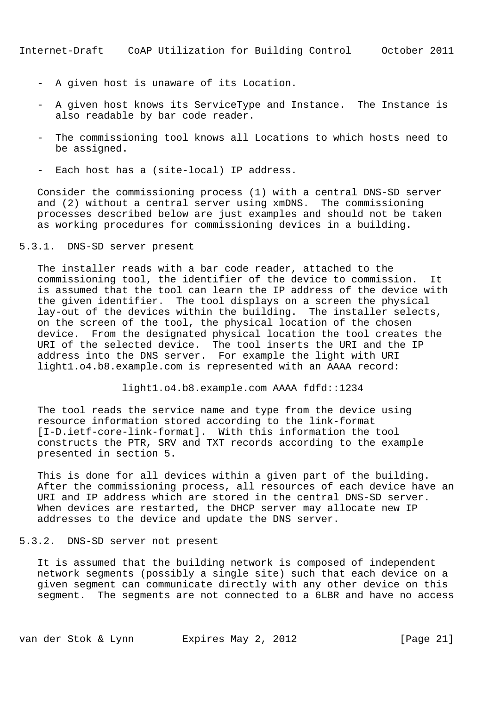- A given host is unaware of its Location.
- A given host knows its ServiceType and Instance. The Instance is also readable by bar code reader.
- The commissioning tool knows all Locations to which hosts need to be assigned.
- Each host has a (site-local) IP address.

 Consider the commissioning process (1) with a central DNS-SD server and (2) without a central server using xmDNS. The commissioning processes described below are just examples and should not be taken as working procedures for commissioning devices in a building.

5.3.1. DNS-SD server present

 The installer reads with a bar code reader, attached to the commissioning tool, the identifier of the device to commission. It is assumed that the tool can learn the IP address of the device with the given identifier. The tool displays on a screen the physical lay-out of the devices within the building. The installer selects, on the screen of the tool, the physical location of the chosen device. From the designated physical location the tool creates the URI of the selected device. The tool inserts the URI and the IP address into the DNS server. For example the light with URI light1.o4.b8.example.com is represented with an AAAA record:

light1.o4.b8.example.com AAAA fdfd::1234

 The tool reads the service name and type from the device using resource information stored according to the link-format [I-D.ietf-core-link-format]. With this information the tool constructs the PTR, SRV and TXT records according to the example presented in section 5.

 This is done for all devices within a given part of the building. After the commissioning process, all resources of each device have an URI and IP address which are stored in the central DNS-SD server. When devices are restarted, the DHCP server may allocate new IP addresses to the device and update the DNS server.

### 5.3.2. DNS-SD server not present

 It is assumed that the building network is composed of independent network segments (possibly a single site) such that each device on a given segment can communicate directly with any other device on this segment. The segments are not connected to a 6LBR and have no access

van der Stok & Lynn Expires May 2, 2012 [Page 21]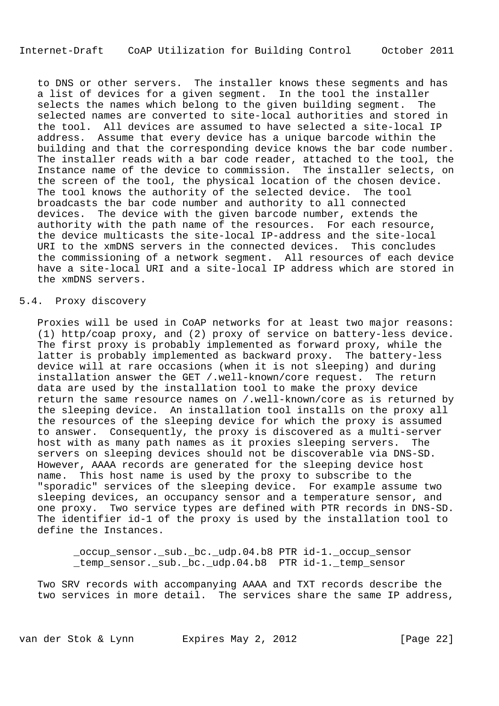to DNS or other servers. The installer knows these segments and has a list of devices for a given segment. In the tool the installer selects the names which belong to the given building segment. The selected names are converted to site-local authorities and stored in the tool. All devices are assumed to have selected a site-local IP address. Assume that every device has a unique barcode within the building and that the corresponding device knows the bar code number. The installer reads with a bar code reader, attached to the tool, the Instance name of the device to commission. The installer selects, on the screen of the tool, the physical location of the chosen device. The tool knows the authority of the selected device. The tool broadcasts the bar code number and authority to all connected devices. The device with the given barcode number, extends the authority with the path name of the resources. For each resource, the device multicasts the site-local IP-address and the site-local URI to the xmDNS servers in the connected devices. This concludes the commissioning of a network segment. All resources of each device have a site-local URI and a site-local IP address which are stored in the xmDNS servers.

### 5.4. Proxy discovery

 Proxies will be used in CoAP networks for at least two major reasons: (1) http/coap proxy, and (2) proxy of service on battery-less device. The first proxy is probably implemented as forward proxy, while the latter is probably implemented as backward proxy. The battery-less device will at rare occasions (when it is not sleeping) and during installation answer the GET /.well-known/core request. The return data are used by the installation tool to make the proxy device return the same resource names on /.well-known/core as is returned by the sleeping device. An installation tool installs on the proxy all the resources of the sleeping device for which the proxy is assumed to answer. Consequently, the proxy is discovered as a multi-server host with as many path names as it proxies sleeping servers. The servers on sleeping devices should not be discoverable via DNS-SD. However, AAAA records are generated for the sleeping device host name. This host name is used by the proxy to subscribe to the "sporadic" services of the sleeping device. For example assume two sleeping devices, an occupancy sensor and a temperature sensor, and one proxy. Two service types are defined with PTR records in DNS-SD. The identifier id-1 of the proxy is used by the installation tool to define the Instances.

 \_occup\_sensor.\_sub.\_bc.\_udp.04.b8 PTR id-1.\_occup\_sensor \_temp\_sensor.\_sub.\_bc.\_udp.04.b8 PTR id-1.\_temp\_sensor

 Two SRV records with accompanying AAAA and TXT records describe the two services in more detail. The services share the same IP address,

van der Stok & Lynn Expires May 2, 2012 [Page 22]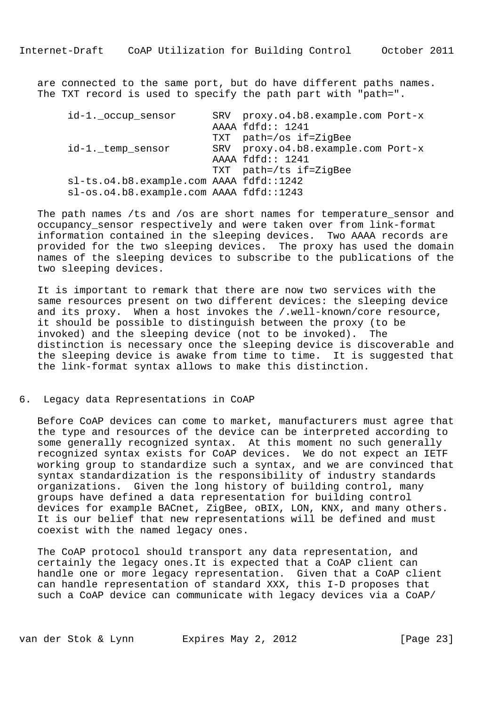are connected to the same port, but do have different paths names. The TXT record is used to specify the path part with "path=".

| id-1._occup_sensor                      | SRV proxy.04.b8.example.com Port-x |  |
|-----------------------------------------|------------------------------------|--|
|                                         | AAAA fdfd:: 1241                   |  |
|                                         | TXT path=/os if=ZigBee             |  |
| id-1._temp_sensor                       | SRV proxy.04.b8.example.com Port-x |  |
|                                         | AAAA fdfd:: 1241                   |  |
|                                         | TXT path=/ts if=ZigBee             |  |
| sl-ts.o4.b8.example.com AAAA fdfd::1242 |                                    |  |
| sl-os.o4.b8.example.com AAAA fdfd::1243 |                                    |  |

The path names /ts and /os are short names for temperature sensor and occupancy\_sensor respectively and were taken over from link-format information contained in the sleeping devices. Two AAAA records are provided for the two sleeping devices. The proxy has used the domain names of the sleeping devices to subscribe to the publications of the two sleeping devices.

 It is important to remark that there are now two services with the same resources present on two different devices: the sleeping device and its proxy. When a host invokes the /.well-known/core resource, it should be possible to distinguish between the proxy (to be invoked) and the sleeping device (not to be invoked). The distinction is necessary once the sleeping device is discoverable and the sleeping device is awake from time to time. It is suggested that the link-format syntax allows to make this distinction.

6. Legacy data Representations in CoAP

 Before CoAP devices can come to market, manufacturers must agree that the type and resources of the device can be interpreted according to some generally recognized syntax. At this moment no such generally recognized syntax exists for CoAP devices. We do not expect an IETF working group to standardize such a syntax, and we are convinced that syntax standardization is the responsibility of industry standards organizations. Given the long history of building control, many groups have defined a data representation for building control devices for example BACnet, ZigBee, oBIX, LON, KNX, and many others. It is our belief that new representations will be defined and must coexist with the named legacy ones.

 The CoAP protocol should transport any data representation, and certainly the legacy ones.It is expected that a CoAP client can handle one or more legacy representation. Given that a CoAP client can handle representation of standard XXX, this I-D proposes that such a CoAP device can communicate with legacy devices via a CoAP/

van der Stok & Lynn Expires May 2, 2012 [Page 23]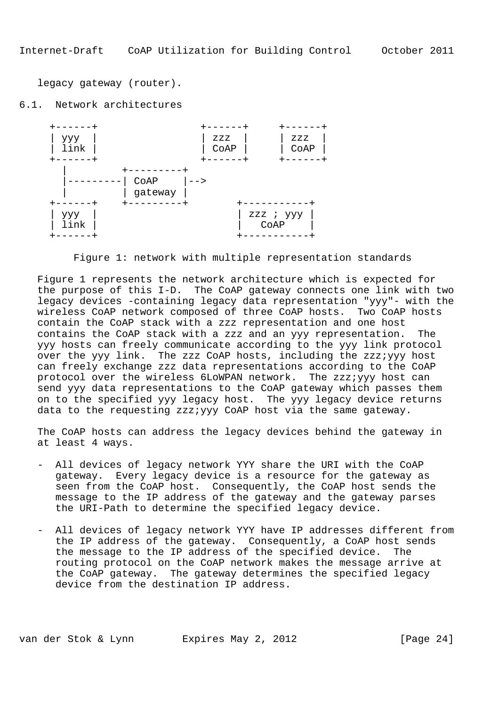legacy gateway (router).

6.1. Network architectures



Figure 1: network with multiple representation standards

 Figure 1 represents the network architecture which is expected for the purpose of this I-D. The CoAP gateway connects one link with two legacy devices -containing legacy data representation "yyy"- with the wireless CoAP network composed of three CoAP hosts. Two CoAP hosts contain the CoAP stack with a zzz representation and one host contains the CoAP stack with a zzz and an yyy representation. The yyy hosts can freely communicate according to the yyy link protocol over the yyy link. The zzz CoAP hosts, including the zzz;yyy host can freely exchange zzz data representations according to the CoAP protocol over the wireless 6LoWPAN network. The zzz;yyy host can send yyy data representations to the CoAP gateway which passes them on to the specified yyy legacy host. The yyy legacy device returns data to the requesting zzz;yyy CoAP host via the same gateway.

 The CoAP hosts can address the legacy devices behind the gateway in at least 4 ways.

- All devices of legacy network YYY share the URI with the CoAP gateway. Every legacy device is a resource for the gateway as seen from the CoAP host. Consequently, the CoAP host sends the message to the IP address of the gateway and the gateway parses the URI-Path to determine the specified legacy device.
- All devices of legacy network YYY have IP addresses different from the IP address of the gateway. Consequently, a CoAP host sends the message to the IP address of the specified device. The routing protocol on the CoAP network makes the message arrive at the CoAP gateway. The gateway determines the specified legacy device from the destination IP address.

van der Stok & Lynn Expires May 2, 2012 [Page 24]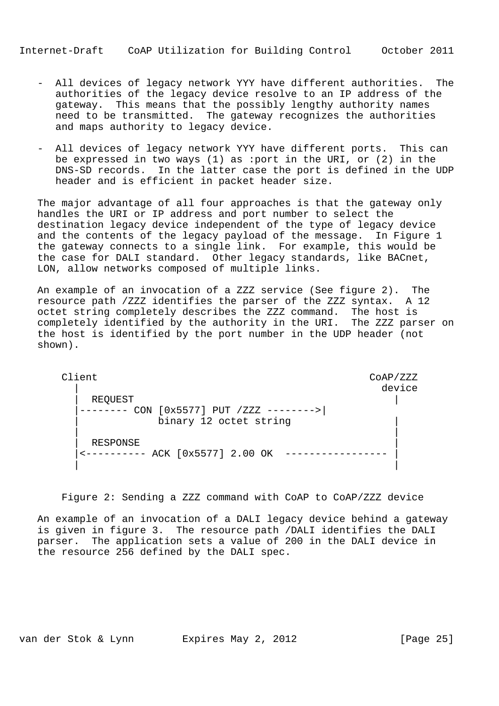- All devices of legacy network YYY have different authorities. The authorities of the legacy device resolve to an IP address of the gateway. This means that the possibly lengthy authority names need to be transmitted. The gateway recognizes the authorities and maps authority to legacy device.
- All devices of legacy network YYY have different ports. This can be expressed in two ways (1) as :port in the URI, or (2) in the DNS-SD records. In the latter case the port is defined in the UDP header and is efficient in packet header size.

 The major advantage of all four approaches is that the gateway only handles the URI or IP address and port number to select the destination legacy device independent of the type of legacy device and the contents of the legacy payload of the message. In Figure 1 the gateway connects to a single link. For example, this would be the case for DALI standard. Other legacy standards, like BACnet, LON, allow networks composed of multiple links.

 An example of an invocation of a ZZZ service (See figure 2). The resource path /ZZZ identifies the parser of the ZZZ syntax. A 12 octet string completely describes the ZZZ command. The host is completely identified by the authority in the URI. The ZZZ parser on the host is identified by the port number in the UDP header (not shown).

Client Coap/ZZZ | device | REQUEST | |-------- CON [0x5577] PUT /ZZZ -------->| binary 12 octet string | | | RESPONSE | |<---------- ACK [0x5577] 2.00 OK ----------------- | | |

Figure 2: Sending a ZZZ command with CoAP to CoAP/ZZZ device

 An example of an invocation of a DALI legacy device behind a gateway is given in figure 3. The resource path /DALI identifies the DALI parser. The application sets a value of 200 in the DALI device in the resource 256 defined by the DALI spec.

van der Stok & Lynn Expires May 2, 2012 [Page 25]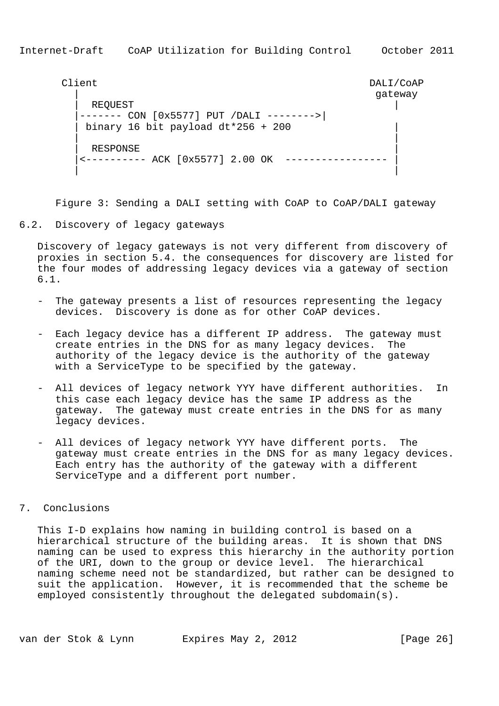```
 Client DALI/CoAP
| gateway state and the state of the state of the state of the state of the state of the state of the state of the state of the state of the state of the state of the state of the state of the state of the state of the sta
              | REQUEST |
             |------- CON [0x5577] PUT /DALI -------->|
             | binary 16 bit payload dt*256 + 200 |
 | |
             RESPONSE
             |<---------- ACK [0x5577] 2.00 OK ----------------- |
```
Figure 3: Sending a DALI setting with CoAP to CoAP/DALI gateway

| |

# 6.2. Discovery of legacy gateways

 Discovery of legacy gateways is not very different from discovery of proxies in section 5.4. the consequences for discovery are listed for the four modes of addressing legacy devices via a gateway of section 6.1.

- The gateway presents a list of resources representing the legacy devices. Discovery is done as for other CoAP devices.
- Each legacy device has a different IP address. The gateway must create entries in the DNS for as many legacy devices. The authority of the legacy device is the authority of the gateway with a ServiceType to be specified by the gateway.
- All devices of legacy network YYY have different authorities. In this case each legacy device has the same IP address as the gateway. The gateway must create entries in the DNS for as many legacy devices.
- All devices of legacy network YYY have different ports. The gateway must create entries in the DNS for as many legacy devices. Each entry has the authority of the gateway with a different ServiceType and a different port number.

# 7. Conclusions

 This I-D explains how naming in building control is based on a hierarchical structure of the building areas. It is shown that DNS naming can be used to express this hierarchy in the authority portion of the URI, down to the group or device level. The hierarchical naming scheme need not be standardized, but rather can be designed to suit the application. However, it is recommended that the scheme be employed consistently throughout the delegated subdomain(s).

van der Stok & Lynn Expires May 2, 2012 [Page 26]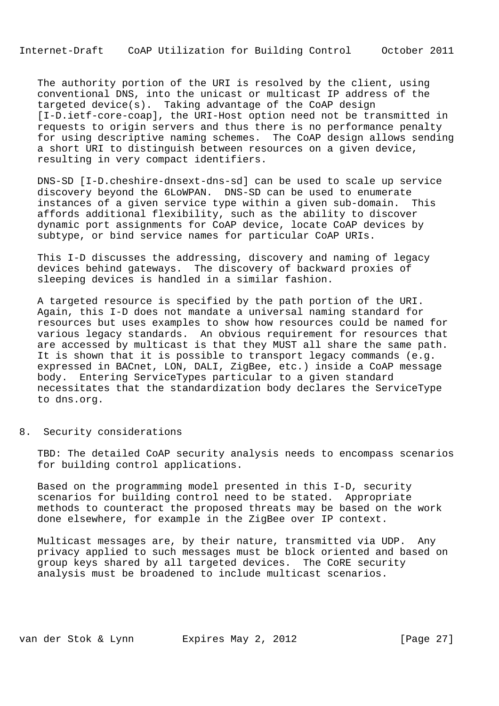The authority portion of the URI is resolved by the client, using conventional DNS, into the unicast or multicast IP address of the targeted device(s). Taking advantage of the CoAP design [I-D.ietf-core-coap], the URI-Host option need not be transmitted in requests to origin servers and thus there is no performance penalty for using descriptive naming schemes. The CoAP design allows sending a short URI to distinguish between resources on a given device, resulting in very compact identifiers.

 DNS-SD [I-D.cheshire-dnsext-dns-sd] can be used to scale up service discovery beyond the 6LoWPAN. DNS-SD can be used to enumerate instances of a given service type within a given sub-domain. This affords additional flexibility, such as the ability to discover dynamic port assignments for CoAP device, locate CoAP devices by subtype, or bind service names for particular CoAP URIs.

 This I-D discusses the addressing, discovery and naming of legacy devices behind gateways. The discovery of backward proxies of sleeping devices is handled in a similar fashion.

 A targeted resource is specified by the path portion of the URI. Again, this I-D does not mandate a universal naming standard for resources but uses examples to show how resources could be named for various legacy standards. An obvious requirement for resources that are accessed by multicast is that they MUST all share the same path. It is shown that it is possible to transport legacy commands (e.g. expressed in BACnet, LON, DALI, ZigBee, etc.) inside a CoAP message body. Entering ServiceTypes particular to a given standard necessitates that the standardization body declares the ServiceType to dns.org.

8. Security considerations

 TBD: The detailed CoAP security analysis needs to encompass scenarios for building control applications.

 Based on the programming model presented in this I-D, security scenarios for building control need to be stated. Appropriate methods to counteract the proposed threats may be based on the work done elsewhere, for example in the ZigBee over IP context.

 Multicast messages are, by their nature, transmitted via UDP. Any privacy applied to such messages must be block oriented and based on group keys shared by all targeted devices. The CoRE security analysis must be broadened to include multicast scenarios.

van der Stok & Lynn Expires May 2, 2012 [Page 27]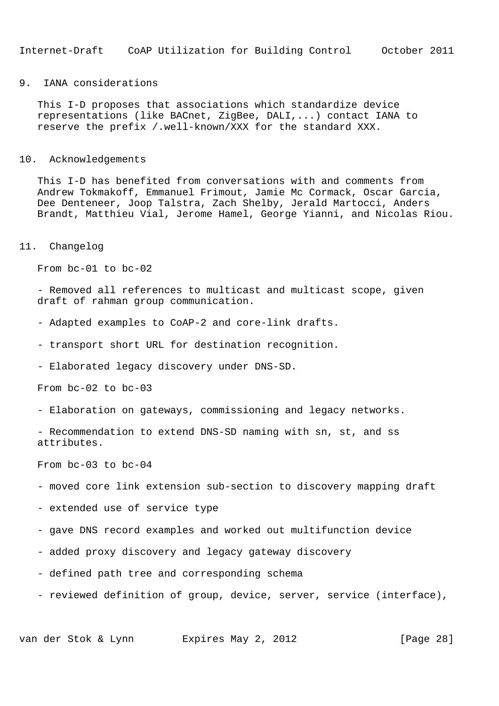### 9. IANA considerations

 This I-D proposes that associations which standardize device representations (like BACnet, ZigBee, DALI,...) contact IANA to reserve the prefix /.well-known/XXX for the standard XXX.

### 10. Acknowledgements

 This I-D has benefited from conversations with and comments from Andrew Tokmakoff, Emmanuel Frimout, Jamie Mc Cormack, Oscar Garcia, Dee Denteneer, Joop Talstra, Zach Shelby, Jerald Martocci, Anders Brandt, Matthieu Vial, Jerome Hamel, George Yianni, and Nicolas Riou.

#### 11. Changelog

From bc-01 to bc-02

 - Removed all references to multicast and multicast scope, given draft of rahman group communication.

- Adapted examples to CoAP-2 and core-link drafts.
- transport short URL for destination recognition.
- Elaborated legacy discovery under DNS-SD.

From bc-02 to bc-03

- Elaboration on gateways, commissioning and legacy networks.

 - Recommendation to extend DNS-SD naming with sn, st, and ss attributes.

From bc-03 to bc-04

- moved core link extension sub-section to discovery mapping draft

- extended use of service type

- gave DNS record examples and worked out multifunction device
- added proxy discovery and legacy gateway discovery
- defined path tree and corresponding schema
- reviewed definition of group, device, server, service (interface),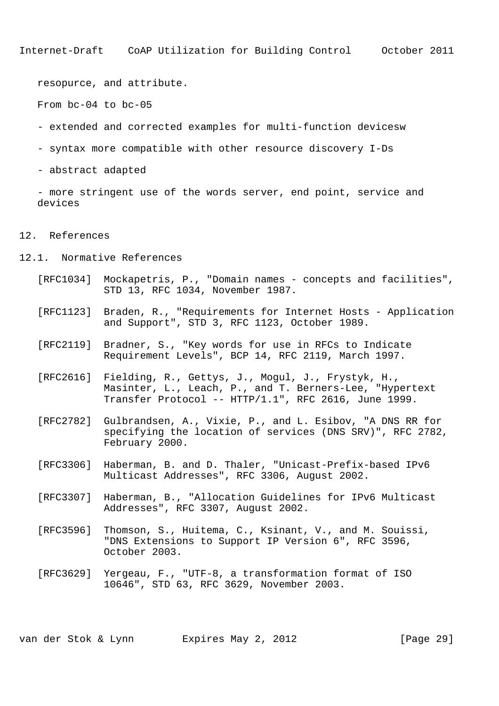resopurce, and attribute.

From bc-04 to bc-05

- extended and corrected examples for multi-function devicesw
- syntax more compatible with other resource discovery I-Ds
- abstract adapted

 - more stringent use of the words server, end point, service and devices

### 12. References

- 12.1. Normative References
	- [RFC1034] Mockapetris, P., "Domain names concepts and facilities", STD 13, RFC 1034, November 1987.
	- [RFC1123] Braden, R., "Requirements for Internet Hosts Application and Support", STD 3, RFC 1123, October 1989.
	- [RFC2119] Bradner, S., "Key words for use in RFCs to Indicate Requirement Levels", BCP 14, RFC 2119, March 1997.
	- [RFC2616] Fielding, R., Gettys, J., Mogul, J., Frystyk, H., Masinter, L., Leach, P., and T. Berners-Lee, "Hypertext Transfer Protocol -- HTTP/1.1", RFC 2616, June 1999.
	- [RFC2782] Gulbrandsen, A., Vixie, P., and L. Esibov, "A DNS RR for specifying the location of services (DNS SRV)", RFC 2782, February 2000.
	- [RFC3306] Haberman, B. and D. Thaler, "Unicast-Prefix-based IPv6 Multicast Addresses", RFC 3306, August 2002.
	- [RFC3307] Haberman, B., "Allocation Guidelines for IPv6 Multicast Addresses", RFC 3307, August 2002.
	- [RFC3596] Thomson, S., Huitema, C., Ksinant, V., and M. Souissi, "DNS Extensions to Support IP Version 6", RFC 3596, October 2003.
	- [RFC3629] Yergeau, F., "UTF-8, a transformation format of ISO 10646", STD 63, RFC 3629, November 2003.

van der Stok & Lynn Expires May 2, 2012 [Page 29]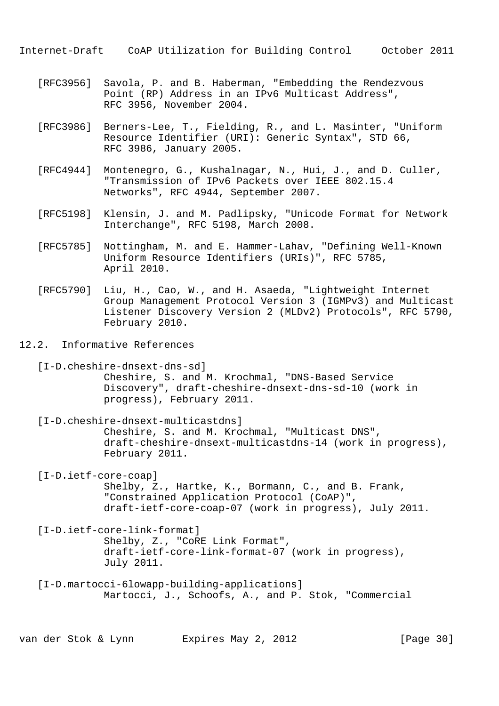- [RFC3956] Savola, P. and B. Haberman, "Embedding the Rendezvous Point (RP) Address in an IPv6 Multicast Address", RFC 3956, November 2004.
- [RFC3986] Berners-Lee, T., Fielding, R., and L. Masinter, "Uniform Resource Identifier (URI): Generic Syntax", STD 66, RFC 3986, January 2005.
- [RFC4944] Montenegro, G., Kushalnagar, N., Hui, J., and D. Culler, "Transmission of IPv6 Packets over IEEE 802.15.4 Networks", RFC 4944, September 2007.
- [RFC5198] Klensin, J. and M. Padlipsky, "Unicode Format for Network Interchange", RFC 5198, March 2008.
- [RFC5785] Nottingham, M. and E. Hammer-Lahav, "Defining Well-Known Uniform Resource Identifiers (URIs)", RFC 5785, April 2010.
- [RFC5790] Liu, H., Cao, W., and H. Asaeda, "Lightweight Internet Group Management Protocol Version 3 (IGMPv3) and Multicast Listener Discovery Version 2 (MLDv2) Protocols", RFC 5790, February 2010.
- 12.2. Informative References

 [I-D.cheshire-dnsext-dns-sd] Cheshire, S. and M. Krochmal, "DNS-Based Service Discovery", draft-cheshire-dnsext-dns-sd-10 (work in progress), February 2011.

 [I-D.cheshire-dnsext-multicastdns] Cheshire, S. and M. Krochmal, "Multicast DNS", draft-cheshire-dnsext-multicastdns-14 (work in progress), February 2011.

[I-D.ietf-core-coap]

 Shelby, Z., Hartke, K., Bormann, C., and B. Frank, "Constrained Application Protocol (CoAP)", draft-ietf-core-coap-07 (work in progress), July 2011.

 [I-D.ietf-core-link-format] Shelby, Z., "CoRE Link Format", draft-ietf-core-link-format-07 (work in progress), July 2011.

 [I-D.martocci-6lowapp-building-applications] Martocci, J., Schoofs, A., and P. Stok, "Commercial

van der Stok & Lynn Expires May 2, 2012 [Page 30]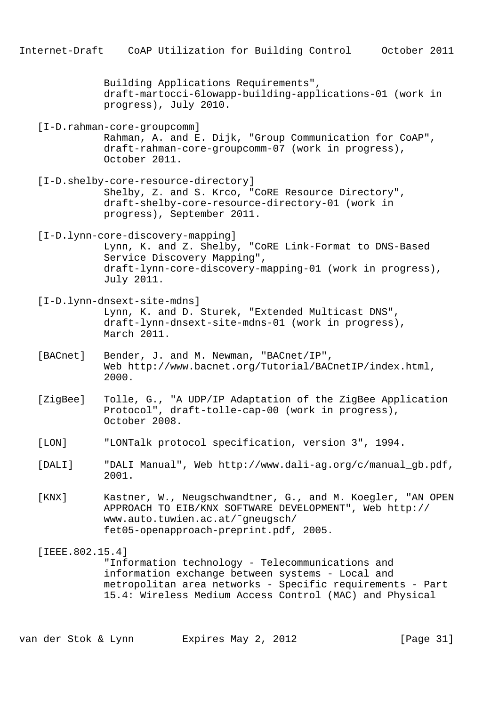|                 | Internet-Draft CoAP Utilization for Building Control<br>October 2011                                                                                                                                 |
|-----------------|------------------------------------------------------------------------------------------------------------------------------------------------------------------------------------------------------|
|                 | Building Applications Requirements",<br>draft-martocci-6lowapp-building-applications-01 (work in<br>progress), July 2010.                                                                            |
|                 | [I-D.rahman-core-groupcomm]<br>Rahman, A. and E. Dijk, "Group Communication for CoAP",<br>draft-rahman-core-groupcomm-07 (work in progress),<br>October 2011.                                        |
|                 | [I-D.shelby-core-resource-directory]<br>Shelby, Z. and S. Krco, "CoRE Resource Directory",<br>draft-shelby-core-resource-directory-01 (work in<br>progress), September 2011.                         |
|                 | [I-D.lynn-core-discovery-mapping]<br>Lynn, K. and Z. Shelby, "CoRE Link-Format to DNS-Based<br>Service Discovery Mapping",<br>draft-lynn-core-discovery-mapping-01 (work in progress),<br>July 2011. |
|                 | [I-D.lynn-dnsext-site-mdns]<br>Lynn, K. and D. Sturek, "Extended Multicast DNS",<br>draft-lynn-dnsext-site-mdns-01 (work in progress),<br>March 2011.                                                |
| [BACnet]        | Bender, J. and M. Newman, "BACnet/IP",<br>Web http://www.bacnet.org/Tutorial/BACnetIP/index.html,<br>2000.                                                                                           |
| [ZigBee]        | Tolle, G., "A UDP/IP Adaptation of the ZigBee Application<br>Protocol", draft-tolle-cap-00 (work in progress),<br>October 2008.                                                                      |
| [LON]           | "LONTalk protocol specification, version 3", 1994.                                                                                                                                                   |
| [DALI]          | "DALI Manual", Web http://www.dali-ag.org/c/manual_gb.pdf,<br>2001.                                                                                                                                  |
| [KNX]           | Kastner, W., Neugschwandtner, G., and M. Koegler, "AN OPEN<br>APPROACH TO EIB/KNX SOFTWARE DEVELOPMENT", Web http://<br>www.auto.tuwien.ac.at/~gneugsch/<br>fet05-openapproach-preprint.pdf, 2005.   |
| [IEEE.802.15.4] | "Information technology - Telecommunications and<br>information exchange between systems - Local and<br>metropolitan area networks - Specific requirements - Part                                    |

15.4: Wireless Medium Access Control (MAC) and Physical